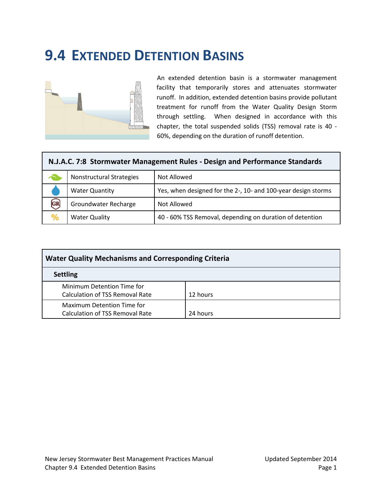# **9.4 EXTENDED DETENTION BASINS**



An extended detention basin is a stormwater management facility that temporarily stores and attenuates stormwater runoff. In addition, extended detention basins provide pollutant treatment for runoff from the Water Quality Design Storm through settling. When designed in accordance with this chapter, the total suspended solids (TSS) removal rate is 40 - 60%, depending on the duration of runoff detention.

| N.J.A.C. 7:8 Stormwater Management Rules - Design and Performance Standards |                                         |                                                               |  |  |  |  |
|-----------------------------------------------------------------------------|-----------------------------------------|---------------------------------------------------------------|--|--|--|--|
|                                                                             | Nonstructural Strategies<br>Not Allowed |                                                               |  |  |  |  |
|                                                                             | <b>Water Quantity</b>                   | Yes, when designed for the 2-, 10- and 100-year design storms |  |  |  |  |
|                                                                             | Groundwater Recharge                    | Not Allowed                                                   |  |  |  |  |
|                                                                             | <b>Water Quality</b>                    | 40 - 60% TSS Removal, depending on duration of detention      |  |  |  |  |

| <b>Water Quality Mechanisms and Corresponding Criteria</b>           |          |  |  |  |  |
|----------------------------------------------------------------------|----------|--|--|--|--|
| <b>Settling</b>                                                      |          |  |  |  |  |
| Minimum Detention Time for<br><b>Calculation of TSS Removal Rate</b> | 12 hours |  |  |  |  |
| Maximum Detention Time for<br><b>Calculation of TSS Removal Rate</b> | 24 hours |  |  |  |  |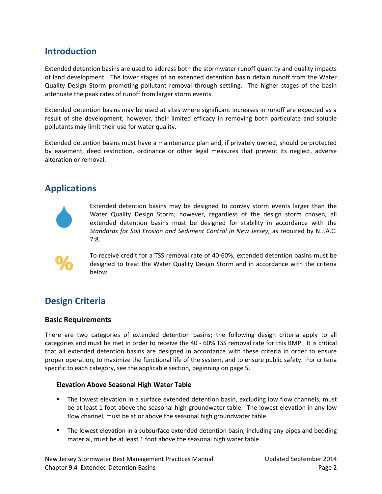# **Introduction**

Extended detention basins are used to address both the stormwater runoff quantity and quality impacts of land development. The lower stages of an extended detention basin detain runoff from the Water Quality Design Storm promoting pollutant removal through settling. The higher stages of the basin attenuate the peak rates of runoff from larger storm events.

Extended detention basins may be used at sites where significant increases in runoff are expected as a result of site development; however, their limited efficacy in removing both particulate and soluble pollutants may limit their use for water quality.

Extended detention basins must have a maintenance plan and, if privately owned, should be protected by easement, deed restriction, ordinance or other legal measures that prevent its neglect, adverse alteration or removal.

### **Applications**



Extended detention basins may be designed to convey storm events larger than the Water Quality Design Storm; however, regardless of the design storm chosen, all extended detention basins must be designed for stability in accordance with the *Standards for Soil Erosion and Sediment Control in New Jersey,* as required by N.J.A.C. 7:8.



To receive credit for a TSS removal rate of 40-60%, extended detention basins must be designed to treat the Water Quality Design Storm and in accordance with the criteria below.

# **Design Criteria**

#### **Basic Requirements**

There are two categories of extended detention basins; the following design criteria apply to all categories and must be met in order to receive the 40 - 60% TSS removal rate for this BMP. It is critical that all extended detention basins are designed in accordance with these criteria in order to ensure proper operation, to maximize the functional life of the system, and to ensure public safety. For criteria specific to each category, see the applicable section, beginning on page 5.

#### **Elevation Above Seasonal High Water Table**

- **The lowest elevation in a surface extended detention basin, excluding low flow channels, must** be at least 1 foot above the seasonal high groundwater table. The lowest elevation in any low flow channel, must be at or above the seasonal high groundwater table.
- **The lowest elevation in a subsurface extended detention basin, including any pipes and bedding** material, must be at least 1 foot above the seasonal high water table.

New Jersey Stormwater Best Management Practices Manual Updated September 2014 Chapter 9.4 Extended Detention Basins **Page 2** and the state of the state of the state of the state of the state of the state of the state of the state of the state of the state of the state of the state of the state of th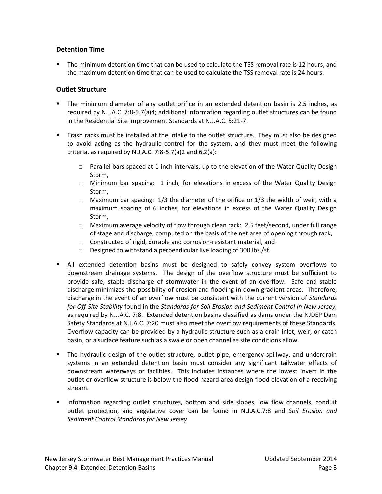### **Detention Time**

 The minimum detention time that can be used to calculate the TSS removal rate is 12 hours, and the maximum detention time that can be used to calculate the TSS removal rate is 24 hours.

### **Outlet Structure**

- The minimum diameter of any outlet orifice in an extended detention basin is 2.5 inches, as required by N.J.A.C. 7:8-5.7(a)4; additional information regarding outlet structures can be found in the Residential Site Improvement Standards at N.J.A.C. 5:21-7.
- **The Trash racks must be installed at the intake to the outlet structure. They must also be designed** to avoid acting as the hydraulic control for the system, and they must meet the following criteria, as required by N.J.A.C. 7:8-5.7(a)2 and  $6.2(a)$ :
	- □ Parallel bars spaced at 1-inch intervals, up to the elevation of the Water Quality Design Storm,
	- □ Minimum bar spacing: 1 inch, for elevations in excess of the Water Quality Design Storm,
	- □ Maximum bar spacing:  $1/3$  the diameter of the orifice or  $1/3$  the width of weir, with a maximum spacing of 6 inches, for elevations in excess of the Water Quality Design Storm,
	- □ Maximum average velocity of flow through clean rack: 2.5 feet/second, under full range of stage and discharge, computed on the basis of the net area of opening through rack,
	- □ Constructed of rigid, durable and corrosion-resistant material, and
	- □ Designed to withstand a perpendicular live loading of 300 lbs./sf.
- All extended detention basins must be designed to safely convey system overflows to downstream drainage systems. The design of the overflow structure must be sufficient to provide safe, stable discharge of stormwater in the event of an overflow. Safe and stable discharge minimizes the possibility of erosion and flooding in down-gradient areas. Therefore, discharge in the event of an overflow must be consistent with the current version of *Standards for Off-Site Stability* found in the *Standards for Soil Erosion and Sediment Control in New Jersey,*  as required by N.J.A.C. 7:8. Extended detention basins classified as dams under the NJDEP Dam Safety Standards at N.J.A.C. 7:20 must also meet the overflow requirements of these Standards. Overflow capacity can be provided by a hydraulic structure such as a drain inlet, weir, or catch basin, or a surface feature such as a swale or open channel as site conditions allow.
- The hydraulic design of the outlet structure, outlet pipe, emergency spillway, and underdrain systems in an extended detention basin must consider any significant tailwater effects of downstream waterways or facilities. This includes instances where the lowest invert in the outlet or overflow structure is below the flood hazard area design flood elevation of a receiving stream.
- **Information regarding outlet structures, bottom and side slopes, low flow channels, conduit** outlet protection, and vegetative cover can be found in N.J.A.C.7:8 and *Soil Erosion and Sediment Control Standards for New Jersey*.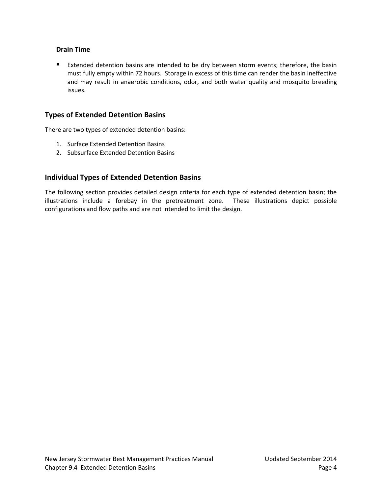### **Drain Time**

Extended detention basins are intended to be dry between storm events; therefore, the basin must fully empty within 72 hours. Storage in excess of this time can render the basin ineffective and may result in anaerobic conditions, odor, and both water quality and mosquito breeding issues.

### **Types of Extended Detention Basins**

There are two types of extended detention basins:

- 1. Surface Extended Detention Basins
- 2. Subsurface Extended Detention Basins

### **Individual Types of Extended Detention Basins**

The following section provides detailed design criteria for each type of extended detention basin; the illustrations include a forebay in the pretreatment zone. These illustrations depict possible configurations and flow paths and are not intended to limit the design.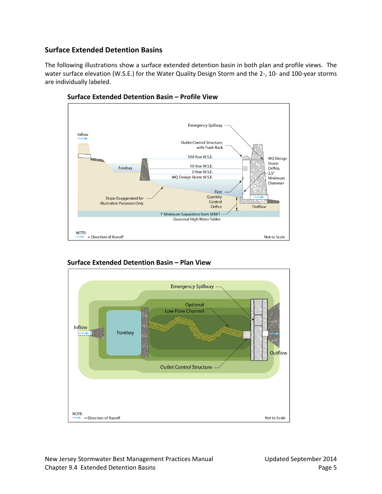### **Surface Extended Detention Basins**

The following illustrations show a surface extended detention basin in both plan and profile views. The water surface elevation (W.S.E.) for the Water Quality Design Storm and the 2-, 10- and 100-year storms are individually labeled.







### **Surface Extended Detention Basin – Plan View**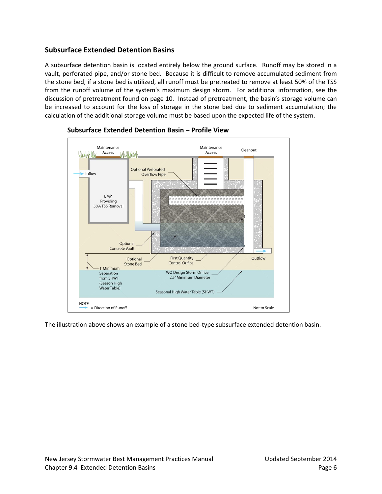### **Subsurface Extended Detention Basins**

A subsurface detention basin is located entirely below the ground surface. Runoff may be stored in a vault, perforated pipe, and/or stone bed. Because it is difficult to remove accumulated sediment from the stone bed, if a stone bed is utilized, all runoff must be pretreated to remove at least 50% of the TSS from the runoff volume of the system's maximum design storm. For additional information, see the discussion of pretreatment found on page 10. Instead of pretreatment, the basin's storage volume can be increased to account for the loss of storage in the stone bed due to sediment accumulation; the calculation of the additional storage volume must be based upon the expected life of the system.



### **Subsurface Extended Detention Basin – Profile View**

The illustration above shows an example of a stone bed-type subsurface extended detention basin.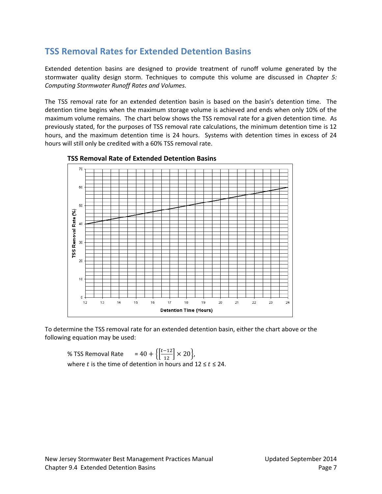# **TSS Removal Rates for Extended Detention Basins**

Extended detention basins are designed to provide treatment of runoff volume generated by the stormwater quality design storm. Techniques to compute this volume are discussed in *Chapter 5: Computing Stormwater Runoff Rates and Volumes.*

The TSS removal rate for an extended detention basin is based on the basin's detention time. The detention time begins when the maximum storage volume is achieved and ends when only 10% of the maximum volume remains. The chart below shows the TSS removal rate for a given detention time. As previously stated, for the purposes of TSS removal rate calculations, the minimum detention time is 12 hours, and the maximum detention time is 24 hours. Systems with detention times in excess of 24 hours will still only be credited with a 60% TSS removal rate.





To determine the TSS removal rate for an extended detention basin, either the chart above or the following equation may be used:

% TSS Removal Rate  $\frac{t-12}{12} \times 20$ , where t is the time of detention in hours and  $12 \le t \le 24$ .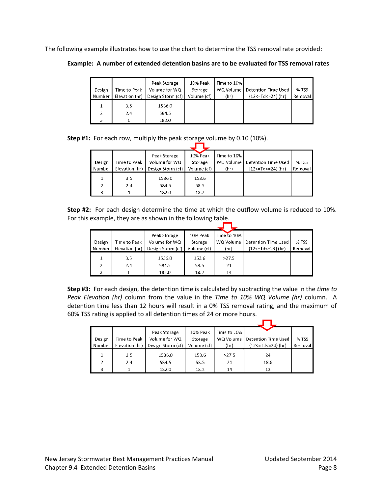The following example illustrates how to use the chart to determine the TSS removal rate provided:

**Example: A number of extended detention basins are to be evaluated for TSS removal rates**

| Design<br>Number | Time to Peak<br>Elevation (hr) | Peak Storage<br>Volume for WQ<br>Design Storm (cf) | 10% Peak<br>Storage<br>Volume (cf) | Time to 10%<br>WQ Volume<br>(hr) | Detention Time Used<br>${12$ <= Td <= 24} (hr) | % TSS<br>Removal |
|------------------|--------------------------------|----------------------------------------------------|------------------------------------|----------------------------------|------------------------------------------------|------------------|
|                  | 3.5                            | 1536.0                                             |                                    |                                  |                                                |                  |
|                  | 2.4                            | 584.5                                              |                                    |                                  |                                                |                  |
| 3                |                                | 182.0                                              |                                    |                                  |                                                |                  |

**Step #1:** For each row, multiply the peak storage volume by 0.10 (10%).

|        |                | Peak Storage      | 10% Peak    | Time to 10% |                         |         |
|--------|----------------|-------------------|-------------|-------------|-------------------------|---------|
| Design | Time to Peak   | Volume for WQ     | Storage     | WQ Volume   | Detention Time Used     | % TSS   |
| Number | Elevation (hr) | Design Storm (cf) | Volume (cf) | (hr)        | ${12$ <= Td <= 24} (hr) | Removal |
|        | $3.5^{\circ}$  | 1536.0            | 153.6       |             |                         |         |
| ς      | 2.4            | 584.5             | 58.5        |             |                         |         |
| ٩      |                | 182.0             | 18.2        |             |                         |         |

**Step #2:** For each design determine the time at which the outflow volume is reduced to 10%. For this example, they are as shown in the following table.

|        |                | Peak Storage      | 10% Peak    | Time to 10% |                                 |         |
|--------|----------------|-------------------|-------------|-------------|---------------------------------|---------|
| Design | Time to Peak   | Volume for WQ     | Storage     |             | WQ Volume   Detention Time Used | % TSS   |
| Number | Elevation (hr) | Design Storm (cf) | Volume (cf) | (hr)        | ${12$ <= Td <= 24} (hr)         | Removal |
|        | 3.5            | 1536.0            | 153.6       | >27.5       |                                 |         |
| 2      | 2.4            | 584.5             | 58.5        | 21          |                                 |         |
| 3      |                | 182.0             | 18.2        | 14          |                                 |         |

**Step #3:** For each design, the detention time is calculated by subtracting the value in the *time to Peak Elevation (hr)* column from the value in the *Time to 10% WQ Volume (hr)* column. A detention time less than 12 hours will result in a 0% TSS removal rating, and the maximum of 60% TSS rating is applied to all detention times of 24 or more hours.

|               |                | Peak Storage      | 10% Peak    | Time to 10% |                           |         |
|---------------|----------------|-------------------|-------------|-------------|---------------------------|---------|
| Design        | Time to Peak   | Volume for WQ     | Storage     | WQ Volume   | Detention Time Used       | % TSS   |
| <b>Number</b> | Elevation (hr) | Design Storm (cf) | Volume (cf) | (hr)        | ${12 < = Td < = 24} (hr)$ | Removal |
|               | $3.5^{\circ}$  | 1536.0            | 153.6       | >27.5       | 24                        |         |
| 2             | 2.4            | 584.5             | 58.5        | 21          | 18.6                      |         |
| 3             |                | 182.0             | 18.2        | 14          | 13                        |         |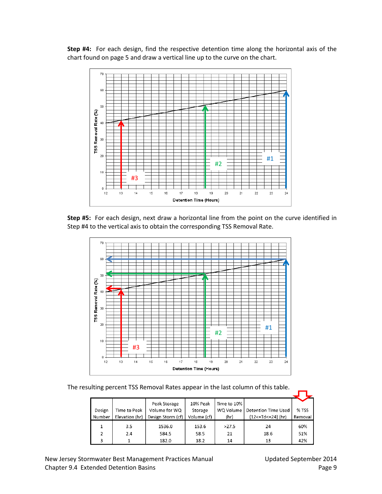**Step #4:** For each design, find the respective detention time along the horizontal axis of the chart found on page 5 and draw a vertical line up to the curve on the chart.



**Step #5:** For each design, next draw a horizontal line from the point on the curve identified in Step #4 to the vertical axis to obtain the corresponding TSS Removal Rate.



The resulting percent TSS Removal Rates appear in the last column of this table.

|               |                | Peak Storage      | 10% Peak    | Time to 10% |                     |         |
|---------------|----------------|-------------------|-------------|-------------|---------------------|---------|
| Design        | Time to Peak   | Volume for WQ     | Storage     | WQ Volume   | Detention Time Used | % TSS   |
| Number        | Elevation (hr) | Design Storm (cf) | Volume (cf) | (hr)        | {12<=Td<=24} (hr)   | Removal |
|               | 3.5            | 1536.0            | 153.6       | >27.5       | 24                  | 60%     |
| $\mathcal{L}$ | 2.4            | 584.5             | 58.5        | 21          | 18.6                | 51%     |
| 3             |                | 182.0             | 18.2        | 14          | 13                  | 42%     |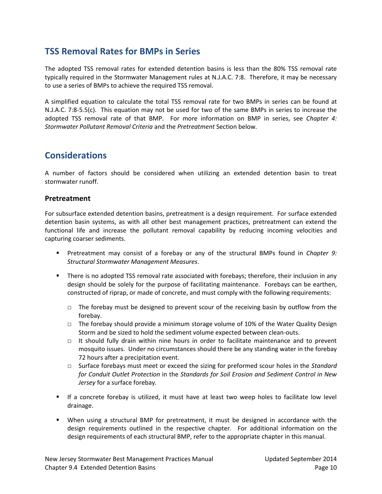# **TSS Removal Rates for BMPs in Series**

The adopted TSS removal rates for extended detention basins is less than the 80% TSS removal rate typically required in the Stormwater Management rules at N.J.A.C. 7:8. Therefore, it may be necessary to use a series of BMPs to achieve the required TSS removal.

A simplified equation to calculate the total TSS removal rate for two BMPs in series can be found at N.J.A.C. 7:8-5.5(c). This equation may not be used for two of the same BMPs in series to increase the adopted TSS removal rate of that BMP. For more information on BMP in series, see *Chapter 4: Stormwater Pollutant Removal Criteria* and the *Pretreatment* Section below*.*

### **Considerations**

A number of factors should be considered when utilizing an extended detention basin to treat stormwater runoff.

#### **Pretreatment**

For subsurface extended detention basins, pretreatment is a design requirement. For surface extended detention basin systems, as with all other best management practices, pretreatment can extend the functional life and increase the pollutant removal capability by reducing incoming velocities and capturing coarser sediments.

- Pretreatment may consist of a forebay or any of the structural BMPs found in *Chapter 9: Structural Stormwater Management Measures*.
- There is no adopted TSS removal rate associated with forebays; therefore, their inclusion in any design should be solely for the purpose of facilitating maintenance. Forebays can be earthen, constructed of riprap, or made of concrete, and must comply with the following requirements:
	- $\Box$  The forebay must be designed to prevent scour of the receiving basin by outflow from the forebay.
	- $\Box$  The forebay should provide a minimum storage volume of 10% of the Water Quality Design Storm and be sized to hold the sediment volume expected between clean-outs.
	- $\Box$  It should fully drain within nine hours in order to facilitate maintenance and to prevent mosquito issues. Under no circumstances should there be any standing water in the forebay 72 hours after a precipitation event.
	- □ Surface forebays must meet or exceed the sizing for preformed scour holes in the *Standard for Conduit Outlet Protection* in the *Standards for Soil Erosion and Sediment Control in New Jersey* for a surface forebay*.*
- If a concrete forebay is utilized, it must have at least two weep holes to facilitate low level drainage.
- When using a structural BMP for pretreatment, it must be designed in accordance with the design requirements outlined in the respective chapter. For additional information on the design requirements of each structural BMP, refer to the appropriate chapter in this manual.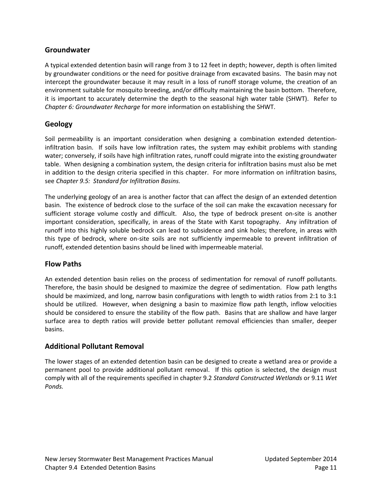### **Groundwater**

A typical extended detention basin will range from 3 to 12 feet in depth; however, depth is often limited by groundwater conditions or the need for positive drainage from excavated basins. The basin may not intercept the groundwater because it may result in a loss of runoff storage volume, the creation of an environment suitable for mosquito breeding, and/or difficulty maintaining the basin bottom. Therefore, it is important to accurately determine the depth to the seasonal high water table (SHWT). Refer to *Chapter 6: Groundwater Recharge* for more information on establishing the SHWT.

### **Geology**

Soil permeability is an important consideration when designing a combination extended detentioninfiltration basin. If soils have low infiltration rates, the system may exhibit problems with standing water; conversely, if soils have high infiltration rates, runoff could migrate into the existing groundwater table. When designing a combination system, the design criteria for infiltration basins must also be met in addition to the design criteria specified in this chapter. For more information on infiltration basins, see *Chapter 9.5: Standard for Infiltration Basins.*

The underlying geology of an area is another factor that can affect the design of an extended detention basin. The existence of bedrock close to the surface of the soil can make the excavation necessary for sufficient storage volume costly and difficult. Also, the type of bedrock present on-site is another important consideration, specifically, in areas of the State with Karst topography. Any infiltration of runoff into this highly soluble bedrock can lead to subsidence and sink holes; therefore, in areas with this type of bedrock, where on-site soils are not sufficiently impermeable to prevent infiltration of runoff, extended detention basins should be lined with impermeable material.

### **Flow Paths**

An extended detention basin relies on the process of sedimentation for removal of runoff pollutants. Therefore, the basin should be designed to maximize the degree of sedimentation. Flow path lengths should be maximized, and long, narrow basin configurations with length to width ratios from 2:1 to 3:1 should be utilized. However, when designing a basin to maximize flow path length, inflow velocities should be considered to ensure the stability of the flow path. Basins that are shallow and have larger surface area to depth ratios will provide better pollutant removal efficiencies than smaller, deeper basins.

### **Additional Pollutant Removal**

The lower stages of an extended detention basin can be designed to create a wetland area or provide a permanent pool to provide additional pollutant removal. If this option is selected, the design must comply with all of the requirements specified in chapter 9.2 *Standard Constructed Wetlands* or 9.11 *Wet Ponds.*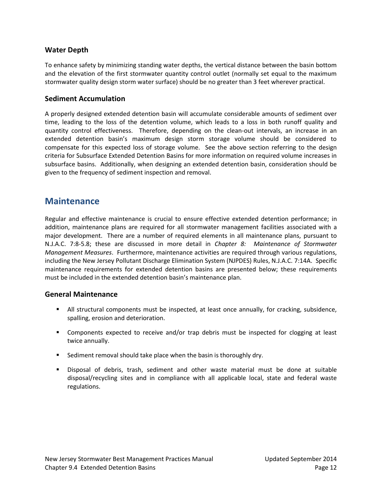### **Water Depth**

To enhance safety by minimizing standing water depths, the vertical distance between the basin bottom and the elevation of the first stormwater quantity control outlet (normally set equal to the maximum stormwater quality design storm water surface) should be no greater than 3 feet wherever practical.

#### **Sediment Accumulation**

A properly designed extended detention basin will accumulate considerable amounts of sediment over time, leading to the loss of the detention volume, which leads to a loss in both runoff quality and quantity control effectiveness. Therefore, depending on the clean-out intervals, an increase in an extended detention basin's maximum design storm storage volume should be considered to compensate for this expected loss of storage volume. See the above section referring to the design criteria for Subsurface Extended Detention Basins for more information on required volume increases in subsurface basins. Additionally, when designing an extended detention basin, consideration should be given to the frequency of sediment inspection and removal.

### **Maintenance**

Regular and effective maintenance is crucial to ensure effective extended detention performance; in addition, maintenance plans are required for all stormwater management facilities associated with a major development. There are a number of required elements in all maintenance plans, pursuant to N.J.A.C. 7:8-5.8; these are discussed in more detail in *Chapter 8: Maintenance of Stormwater Management Measures*. Furthermore, maintenance activities are required through various regulations, including the New Jersey Pollutant Discharge Elimination System (NJPDES) Rules, N.J.A.C. 7:14A. Specific maintenance requirements for extended detention basins are presented below; these requirements must be included in the extended detention basin's maintenance plan.

#### **General Maintenance**

- All structural components must be inspected, at least once annually, for cracking, subsidence, spalling, erosion and deterioration.
- Components expected to receive and/or trap debris must be inspected for clogging at least twice annually.
- **Sediment removal should take place when the basin is thoroughly dry.**
- Disposal of debris, trash, sediment and other waste material must be done at suitable disposal/recycling sites and in compliance with all applicable local, state and federal waste regulations.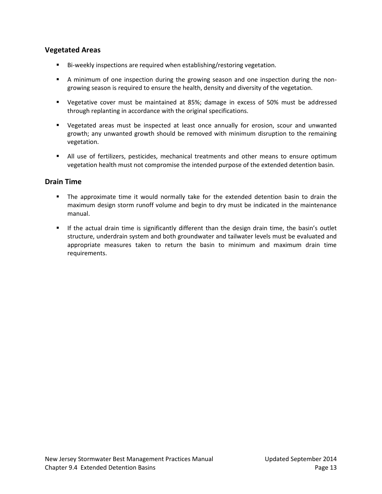### **Vegetated Areas**

- Bi-weekly inspections are required when establishing/restoring vegetation.
- A minimum of one inspection during the growing season and one inspection during the nongrowing season is required to ensure the health, density and diversity of the vegetation.
- Vegetative cover must be maintained at 85%; damage in excess of 50% must be addressed through replanting in accordance with the original specifications.
- Vegetated areas must be inspected at least once annually for erosion, scour and unwanted growth; any unwanted growth should be removed with minimum disruption to the remaining vegetation.
- All use of fertilizers, pesticides, mechanical treatments and other means to ensure optimum vegetation health must not compromise the intended purpose of the extended detention basin.

### **Drain Time**

- The approximate time it would normally take for the extended detention basin to drain the maximum design storm runoff volume and begin to dry must be indicated in the maintenance manual.
- If the actual drain time is significantly different than the design drain time, the basin's outlet structure, underdrain system and both groundwater and tailwater levels must be evaluated and appropriate measures taken to return the basin to minimum and maximum drain time requirements.